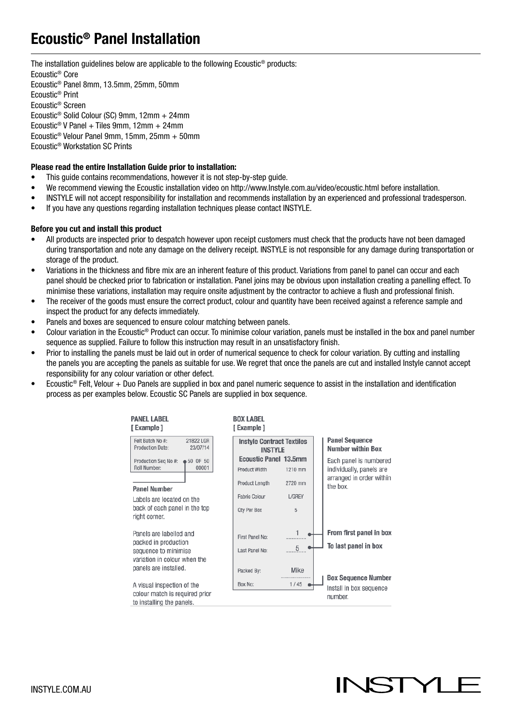# Ecoustic® Panel Installation

The installation guidelines below are applicable to the following Ecoustic® products: Ecoustic® Core Ecoustic® Panel 8mm, 13.5mm, 25mm, 50mm Ecoustic® Print Ecoustic® Screen Ecoustic® Solid Colour (SC) 9mm, 12mm + 24mm Ecoustic® V Panel + Tiles 9mm, 12mm + 24mm Ecoustic® Velour Panel 9mm, 15mm, 25mm + 50mm Ecoustic® Workstation SC Prints

#### Please read the entire Installation Guide prior to installation:

- This guide contains recommendations, however it is not step-by-step guide.
- We recommend viewing the Ecoustic installation video on http://www.Instyle.com.au/video/ecoustic.html before installation.
- INSTYLE will not accept responsibility for installation and recommends installation by an experienced and professional tradesperson.
- If you have any questions regarding installation techniques please contact INSTYLE.

#### Before you cut and install this product

- All products are inspected prior to despatch however upon receipt customers must check that the products have not been damaged during transportation and note any damage on the delivery receipt. INSTYLE is not responsible for any damage during transportation or storage of the product.
- Variations in the thickness and fibre mix are an inherent feature of this product. Variations from panel to panel can occur and each panel should be checked prior to fabrication or installation. Panel joins may be obvious upon installation creating a panelling effect. To minimise these variations, installation may require onsite adjustment by the contractor to achieve a flush and professional finish.
- The receiver of the goods must ensure the correct product, colour and quantity have been received against a reference sample and inspect the product for any defects immediately.
- Panels and boxes are sequenced to ensure colour matching between panels.
- Colour variation in the Ecoustic® Product can occur. To minimise colour variation, panels must be installed in the box and panel number sequence as supplied. Failure to follow this instruction may result in an unsatisfactory finish.
- Prior to installing the panels must be laid out in order of numerical sequence to check for colour variation. By cutting and installing the panels you are accepting the panels as suitable for use. We regret that once the panels are cut and installed Instyle cannot accept responsibility for any colour variation or other defect.
- Ecoustic® Felt, Velour + Duo Panels are supplied in box and panel numeric sequence to assist in the installation and identification process as per examples below. Ecoustic SC Panels are supplied in box sequence.



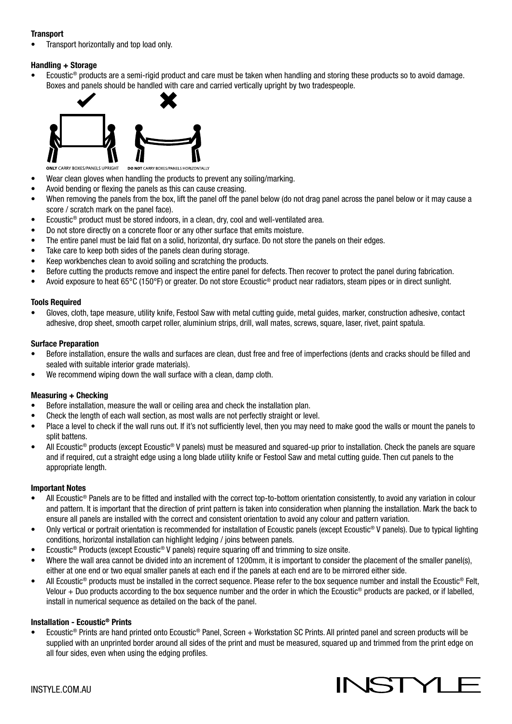#### **Transport**

• Transport horizontally and top load only.

#### Handling + Storage

• Ecoustic® products are a semi-rigid product and care must be taken when handling and storing these products so to avoid damage. Boxes and panels should be handled with care and carried vertically upright by two tradespeople.



**ONLY CARRY BOXES/PANELS UPRIGHT** *NES/PANELS HORIZONTALLY* 

- Wear clean gloves when handling the products to prevent any soiling/marking.
- Avoid bending or flexing the panels as this can cause creasing.
- When removing the panels from the box, lift the panel off the panel below (do not drag panel across the panel below or it may cause a score / scratch mark on the panel face).
- Ecoustic® product must be stored indoors, in a clean, dry, cool and well-ventilated area.
- Do not store directly on a concrete floor or any other surface that emits moisture.
- The entire panel must be laid flat on a solid, horizontal, dry surface. Do not store the panels on their edges.
- Take care to keep both sides of the panels clean during storage.
- Keep workbenches clean to avoid soiling and scratching the products.
- Before cutting the products remove and inspect the entire panel for defects. Then recover to protect the panel during fabrication.
- Avoid exposure to heat 65°C (150°F) or greater. Do not store Ecoustic® product near radiators, steam pipes or in direct sunlight.

#### Tools Required

• Gloves, cloth, tape measure, utility knife, Festool Saw with metal cutting guide, metal guides, marker, construction adhesive, contact adhesive, drop sheet, smooth carpet roller, aluminium strips, drill, wall mates, screws, square, laser, rivet, paint spatula.

#### Surface Preparation

- Before installation, ensure the walls and surfaces are clean, dust free and free of imperfections (dents and cracks should be filled and sealed with suitable interior grade materials).
- We recommend wiping down the wall surface with a clean, damp cloth.

#### Measuring + Checking

- Before installation, measure the wall or ceiling area and check the installation plan.
- Check the length of each wall section, as most walls are not perfectly straight or level.
- Place a level to check if the wall runs out. If it's not sufficiently level, then you may need to make good the walls or mount the panels to split battens.
- All Ecoustic<sup>®</sup> products (except Ecoustic<sup>®</sup> V panels) must be measured and squared-up prior to installation. Check the panels are square and if required, cut a straight edge using a long blade utility knife or Festool Saw and metal cutting guide. Then cut panels to the appropriate length.

#### Important Notes

- All Ecoustic® Panels are to be fitted and installed with the correct top-to-bottom orientation consistently, to avoid any variation in colour and pattern. It is important that the direction of print pattern is taken into consideration when planning the installation. Mark the back to ensure all panels are installed with the correct and consistent orientation to avoid any colour and pattern variation.
- Only vertical or portrait orientation is recommended for installation of Ecoustic panels (except Ecoustic® V panels). Due to typical lighting conditions, horizontal installation can highlight ledging / joins between panels.
- Ecoustic® Products (except Ecoustic® V panels) require squaring off and trimming to size onsite.
- Where the wall area cannot be divided into an increment of 1200mm, it is important to consider the placement of the smaller panel(s), either at one end or two equal smaller panels at each end if the panels at each end are to be mirrored either side.
- All Ecoustic<sup>®</sup> products must be installed in the correct sequence. Please refer to the box sequence number and install the Ecoustic<sup>®</sup> Felt, Velour + Duo products according to the box sequence number and the order in which the Ecoustic® products are packed, or if labelled, install in numerical sequence as detailed on the back of the panel.

#### Installation - Ecoustic® Prints

• Ecoustic® Prints are hand printed onto Ecoustic® Panel, Screen + Workstation SC Prints. All printed panel and screen products will be supplied with an unprinted border around all sides of the print and must be measured, squared up and trimmed from the print edge on all four sides, even when using the edging profiles.

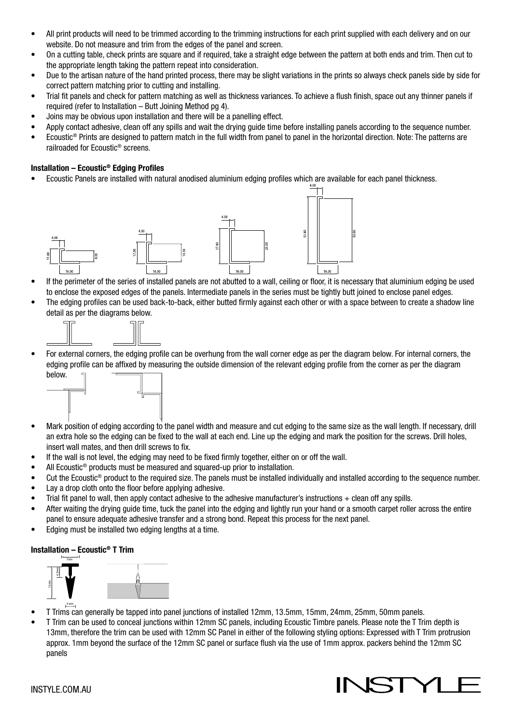- All print products will need to be trimmed according to the trimming instructions for each print supplied with each delivery and on our website. Do not measure and trim from the edges of the panel and screen.
- On a cutting table, check prints are square and if required, take a straight edge between the pattern at both ends and trim. Then cut to the appropriate length taking the pattern repeat into consideration.
- Due to the artisan nature of the hand printed process, there may be slight variations in the prints so always check panels side by side for correct pattern matching prior to cutting and installing.
- Trial fit panels and check for pattern matching as well as thickness variances. To achieve a flush finish, space out any thinner panels if required (refer to Installation – Butt Joining Method pg 4).
- Joins may be obvious upon installation and there will be a panelling effect.
- Apply contact adhesive, clean off any spills and wait the drying guide time before installing panels according to the sequence number.
- Ecoustic® Prints are designed to pattern match in the full width from panel to panel in the horizontal direction. Note: The patterns are railroaded for Ecoustic® screens.

#### Installation – Ecoustic® Edging Profiles

• Ecoustic Panels are installed with natural anodised aluminium edging profiles which are available for each panel thickness.



- If the perimeter of the series of installed panels are not abutted to a wall, ceiling or floor, it is necessary that aluminium edging be used to enclose the exposed edges of the panels. Intermediate panels in the series must be tightly butt joined to enclose panel edges.
- The edging profiles can be used back-to-back, either butted firmly against each other or with a space between to create a shadow line detail as per the diagrams below.



• For external corners, the edging profile can be overhung from the wall corner edge as per the diagram below. For internal corners, the edging profile can be affixed by measuring the outside dimension of the relevant edging profile from the corner as per the diagram below.



- Mark position of edging according to the panel width and measure and cut edging to the same size as the wall length. If necessary, drill an extra hole so the edging can be fixed to the wall at each end. Line up the edging and mark the position for the screws. Drill holes, insert wall mates, and then drill screws to fix.
- If the wall is not level, the edging may need to be fixed firmly together, either on or off the wall.
- All Ecoustic<sup>®</sup> products must be measured and squared-up prior to installation.
- Cut the Ecoustic® product to the required size. The panels must be installed individually and installed according to the sequence number.
- Lay a drop cloth onto the floor before applying adhesive.
- Trial fit panel to wall, then apply contact adhesive to the adhesive manufacturer's instructions + clean off any spills.
- After waiting the drying guide time, tuck the panel into the edging and lightly run your hand or a smooth carpet roller across the entire panel to ensure adequate adhesive transfer and a strong bond. Repeat this process for the next panel.
- Edging must be installed two edging lengths at a time.

#### Installation – Ecoustic® T Trim



- T Trims can generally be tapped into panel junctions of installed 12mm, 13.5mm, 15mm, 24mm, 25mm, 50mm panels.
- T Trim can be used to conceal junctions within 12mm SC panels, including Ecoustic Timbre panels. Please note the T Trim depth is 13mm, therefore the trim can be used with 12mm SC Panel in either of the following styling options: Expressed with T Trim protrusion approx. 1mm beyond the surface of the 12mm SC panel or surface flush via the use of 1mm approx. packers behind the 12mm SC panels

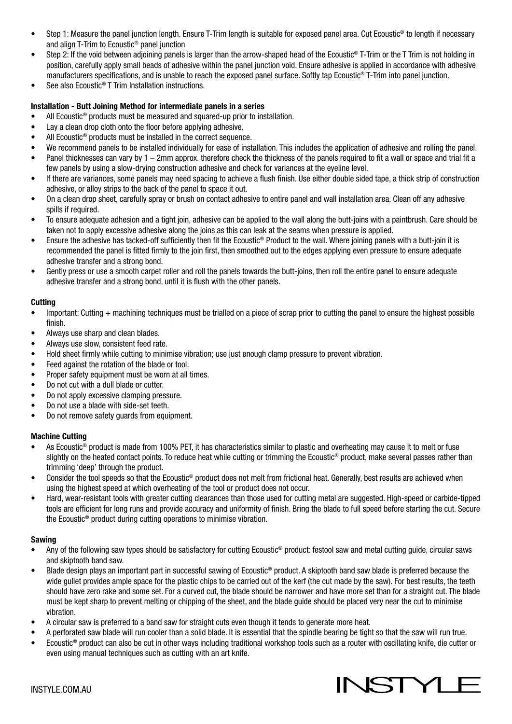- Step 1: Measure the panel junction length. Ensure T-Trim length is suitable for exposed panel area. Cut Ecoustic<sup>®</sup> to length if necessary and align T-Trim to Ecoustic® panel junction
- Step 2: If the void between adjoining panels is larger than the arrow-shaped head of the Ecoustic<sup>®</sup> T-Trim or the T Trim is not holding in position, carefully apply small beads of adhesive within the panel junction void. Ensure adhesive is applied in accordance with adhesive manufacturers specifications, and is unable to reach the exposed panel surface. Softly tap Ecoustic® T-Trim into panel junction.
- See also Ecoustic<sup>®</sup> T Trim Installation instructions.

#### Installation - Butt Joining Method for intermediate panels in a series

- All Ecoustic<sup>®</sup> products must be measured and squared-up prior to installation.
- Lay a clean drop cloth onto the floor before applying adhesive.
- All Ecoustic<sup>®</sup> products must be installed in the correct sequence.
- We recommend panels to be installed individually for ease of installation. This includes the application of adhesive and rolling the panel.
- Panel thicknesses can vary by 1 2mm approx. therefore check the thickness of the panels required to fit a wall or space and trial fit a few panels by using a slow-drying construction adhesive and check for variances at the eyeline level.
- If there are variances, some panels may need spacing to achieve a flush finish. Use either double sided tape, a thick strip of construction adhesive, or alloy strips to the back of the panel to space it out.
- On a clean drop sheet, carefully spray or brush on contact adhesive to entire panel and wall installation area. Clean off any adhesive spills if required.
- To ensure adequate adhesion and a tight join, adhesive can be applied to the wall along the butt-joins with a paintbrush. Care should be taken not to apply excessive adhesive along the joins as this can leak at the seams when pressure is applied.
- Ensure the adhesive has tacked-off sufficiently then fit the Ecoustic® Product to the wall. Where joining panels with a butt-join it is recommended the panel is fitted firmly to the join first, then smoothed out to the edges applying even pressure to ensure adequate adhesive transfer and a strong bond.
- Gently press or use a smooth carpet roller and roll the panels towards the butt-joins, then roll the entire panel to ensure adequate adhesive transfer and a strong bond, until it is flush with the other panels.

#### **Cutting**

- Important: Cutting + machining techniques must be trialled on a piece of scrap prior to cutting the panel to ensure the highest possible finish.
- Always use sharp and clean blades.
- Always use slow, consistent feed rate.
- Hold sheet firmly while cutting to minimise vibration; use just enough clamp pressure to prevent vibration.
- Feed against the rotation of the blade or tool.
- Proper safety equipment must be worn at all times.
- Do not cut with a dull blade or cutter.
- Do not apply excessive clamping pressure.
- Do not use a blade with side-set teeth.
- Do not remove safety guards from equipment.

#### Machine Cutting

- As Ecoustic<sup>®</sup> product is made from 100% PET, it has characteristics similar to plastic and overheating may cause it to melt or fuse slightly on the heated contact points. To reduce heat while cutting or trimming the Ecoustic<sup>®</sup> product, make several passes rather than trimming 'deep' through the product.
- Consider the tool speeds so that the Ecoustic® product does not melt from frictional heat. Generally, best results are achieved when using the highest speed at which overheating of the tool or product does not occur.
- Hard, wear-resistant tools with greater cutting clearances than those used for cutting metal are suggested. High-speed or carbide-tipped tools are efficient for long runs and provide accuracy and uniformity of finish. Bring the blade to full speed before starting the cut. Secure the Ecoustic® product during cutting operations to minimise vibration.

#### Sawing

- Any of the following saw types should be satisfactory for cutting Ecoustic<sup>®</sup> product: festool saw and metal cutting guide, circular saws and skiptooth band saw.
- Blade design plays an important part in successful sawing of Ecoustic<sup>®</sup> product. A skiptooth band saw blade is preferred because the wide gullet provides ample space for the plastic chips to be carried out of the kerf (the cut made by the saw). For best results, the teeth should have zero rake and some set. For a curved cut, the blade should be narrower and have more set than for a straight cut. The blade must be kept sharp to prevent melting or chipping of the sheet, and the blade guide should be placed very near the cut to minimise vibration.
- A circular saw is preferred to a band saw for straight cuts even though it tends to generate more heat.
- A perforated saw blade will run cooler than a solid blade. It is essential that the spindle bearing be tight so that the saw will run true.
- Ecoustic® product can also be cut in other ways including traditional workshop tools such as a router with oscillating knife, die cutter or even using manual techniques such as cutting with an art knife.

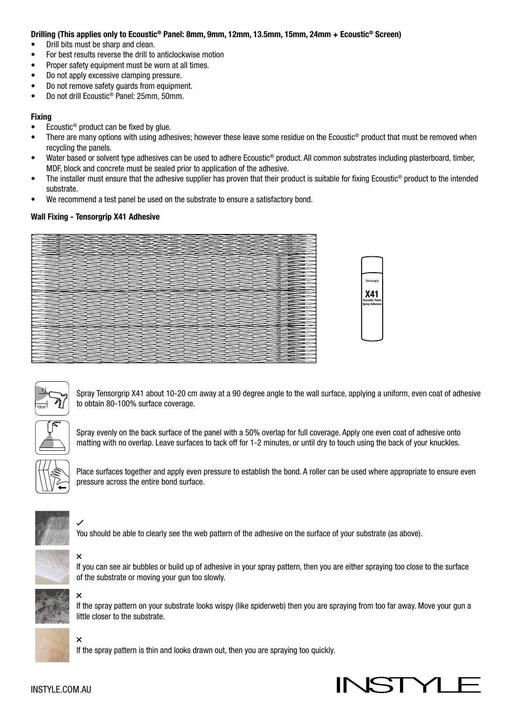#### Drilling (This applies only to Ecoustic® Panel: 8mm, 9mm, 12mm, 13.5mm, 15mm, 24mm + Ecoustic® Screen)

- Drill bits must be sharp and clean.
- For best results reverse the drill to anticlockwise motion
- Proper safety equipment must be worn at all times.
- Do not apply excessive clamping pressure.
- Do not remove safety guards from equipment.
- Do not drill Ecoustic® Panel: 25mm, 50mm.

#### Fixing

- Ecoustic® product can be fixed by glue.
- There are many options with using adhesives; however these leave some residue on the Ecoustic® product that must be removed when recycling the panels.
- Water based or solvent type adhesives can be used to adhere Ecoustic<sup>®</sup> product. All common substrates including plasterboard, timber, MDF, block and concrete must be sealed prior to application of the adhesive.
- The installer must ensure that the adhesive supplier has proven that their product is suitable for fixing Ecoustic® product to the intended substrate.
- We recommend a test panel be used on the substrate to ensure a satisfactory bond.

#### Wall Fixing - Tensorgrip X41 Adhesive







Spray Tensorgrip X41 about 10-20 cm away at a 90 degree angle to the wall surface, applying a uniform, even coat of adhesive to obtain 80-100% surface coverage.



Spray evenly on the back surface of the panel with a 50% overlap for full coverage. Apply one even coat of adhesive onto matting with no overlap. Leave surfaces to tack off for 1-2 minutes, or until dry to touch using the back of your knuckles.



Place surfaces together and apply even pressure to establish the bond. A roller can be used where appropriate to ensure even pressure across the entire bond surface.



You should be able to clearly see the web pattern of the adhesive on the surface of your substrate (as above).



If you can see air bubbles or build up of adhesive in your spray pattern, then you are either spraying too close to the surface of the substrate or moving your gun too slowly.



If the spray pattern on your substrate looks wispy (like spiderweb) then you are spraying from too far away. Move your gun a little closer to the substrate.

If the spray pattern is thin and looks drawn out, then you are spraying too quickly.

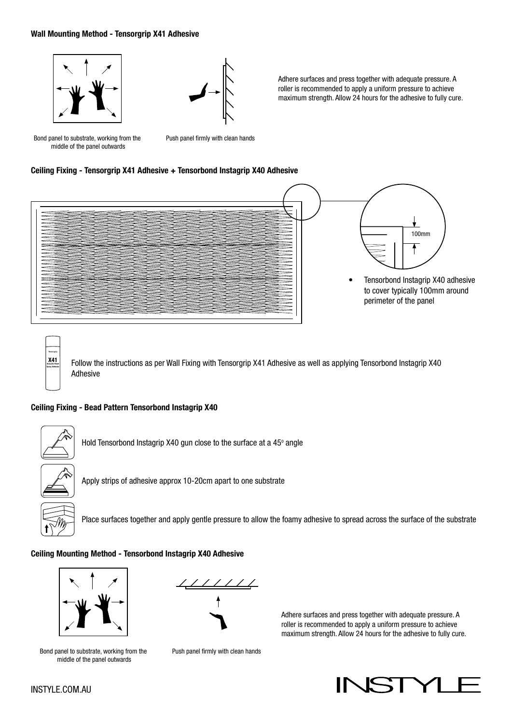#### Wall Mounting Method - Tensorgrip X41 Adhesive





Adhere surfaces and press together with adequate pressure. A roller is recommended to apply a uniform pressure to achieve maximum strength. Allow 24 hours for the adhesive to fully cure.

Bond panel to substrate, working from the middle of the panel outwards

Push panel firmly with clean hands

#### Ceiling Fixing - Tensorgrip X41 Adhesive + Tensorbond Instagrip X40 Adhesive



Follow the instructions as per Wall Fixing with Tensorgrip X41 Adhesive as well as applying Tensorbond Instagrip X40 Adhesive

#### Ceiling Fixing - Bead Pattern Tensorbond Instagrip X40



Tensorgrip X41 Acoustic Panel Spray Adhesive

Hold Tensorbond Instagrip X40 gun close to the surface at a 45° angle



Apply strips of adhesive approx 10-20cm apart to one substrate



Place surfaces together and apply gentle pressure to allow the foamy adhesive to spread across the surface of the substrate

#### Ceiling Mounting Method - Tensorbond Instagrip X40 Adhesive



Bond panel to substrate, working from the middle of the panel outwards



Push panel firmly with clean hands

Adhere surfaces and press together with adequate pressure. A roller is recommended to apply a uniform pressure to achieve maximum strength. Allow 24 hours for the adhesive to fully cure.

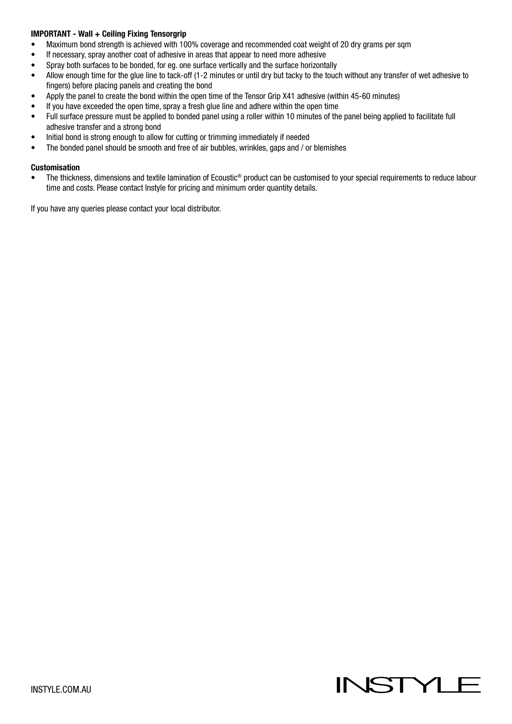### IMPORTANT - Wall + Ceiling Fixing Tensorgrip

- Maximum bond strength is achieved with 100% coverage and recommended coat weight of 20 dry grams per sqm
- If necessary, spray another coat of adhesive in areas that appear to need more adhesive
- Spray both surfaces to be bonded, for eg. one surface vertically and the surface horizontally
- Allow enough time for the glue line to tack-off (1-2 minutes or until dry but tacky to the touch without any transfer of wet adhesive to fingers) before placing panels and creating the bond
- Apply the panel to create the bond within the open time of the Tensor Grip X41 adhesive (within 45-60 minutes)
- If you have exceeded the open time, spray a fresh glue line and adhere within the open time
- Full surface pressure must be applied to bonded panel using a roller within 10 minutes of the panel being applied to facilitate full adhesive transfer and a strong bond
- Initial bond is strong enough to allow for cutting or trimming immediately if needed
- The bonded panel should be smooth and free of air bubbles, wrinkles, gaps and / or blemishes

#### Customisation

The thickness, dimensions and textile lamination of Ecoustic<sup>®</sup> product can be customised to your special requirements to reduce labour time and costs. Please contact Instyle for pricing and minimum order quantity details.

If you have any queries please contact your local distributor.

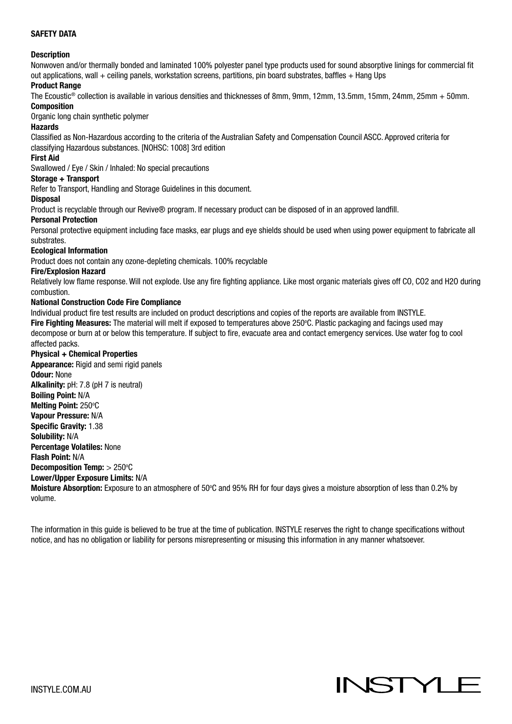### SAFETY DATA

#### **Description**

Nonwoven and/or thermally bonded and laminated 100% polyester panel type products used for sound absorptive linings for commercial fit out applications, wall + ceiling panels, workstation screens, partitions, pin board substrates, baffles + Hang Ups

#### Product Range

The Ecoustic® collection is available in various densities and thicknesses of 8mm, 9mm, 12mm, 13.5mm, 15mm, 24mm, 25mm + 50mm. Composition

#### Organic long chain synthetic polymer

#### Hazards

Classified as Non-Hazardous according to the criteria of the Australian Safety and Compensation Council ASCC. Approved criteria for classifying Hazardous substances. [NOHSC: 1008] 3rd edition

#### First Aid

Swallowed / Eye / Skin / Inhaled: No special precautions

#### Storage + Transport

Refer to Transport, Handling and Storage Guidelines in this document.

#### **Disposal**

Product is recyclable through our Revive® program. If necessary product can be disposed of in an approved landfill.

#### Personal Protection

Personal protective equipment including face masks, ear plugs and eye shields should be used when using power equipment to fabricate all substrates.

#### Ecological Information

Product does not contain any ozone-depleting chemicals. 100% recyclable

#### Fire/Explosion Hazard

Relatively low flame response. Will not explode. Use any fire fighting appliance. Like most organic materials gives off CO, CO2 and H2O during combustion.

#### National Construction Code Fire Compliance

Individual product fire test results are included on product descriptions and copies of the reports are available from INSTYLE. Fire Fighting Measures: The material will melt if exposed to temperatures above 250°C. Plastic packaging and facings used may decompose or burn at or below this temperature. If subject to fire, evacuate area and contact emergency services. Use water fog to cool affected packs.

#### Physical + Chemical Properties

Appearance: Rigid and semi rigid panels Odour: None Alkalinity: pH: 7.8 (pH 7 is neutral) Boiling Point: N/A Melting Point: 250°C Vapour Pressure: N/A Specific Gravity: 1.38 Solubility: N/A Percentage Volatiles: None Flash Point: N/A Decomposition Temp:  $> 250^{\circ}$ C Lower/Upper Exposure Limits: N/A Moisture Absorption: Exposure to an atmosphere of 50°C and 95% RH for four days gives a moisture absorption of less than 0.2% by volume.

The information in this guide is believed to be true at the time of publication. INSTYLE reserves the right to change specifications without notice, and has no obligation or liability for persons misrepresenting or misusing this information in any manner whatsoever.